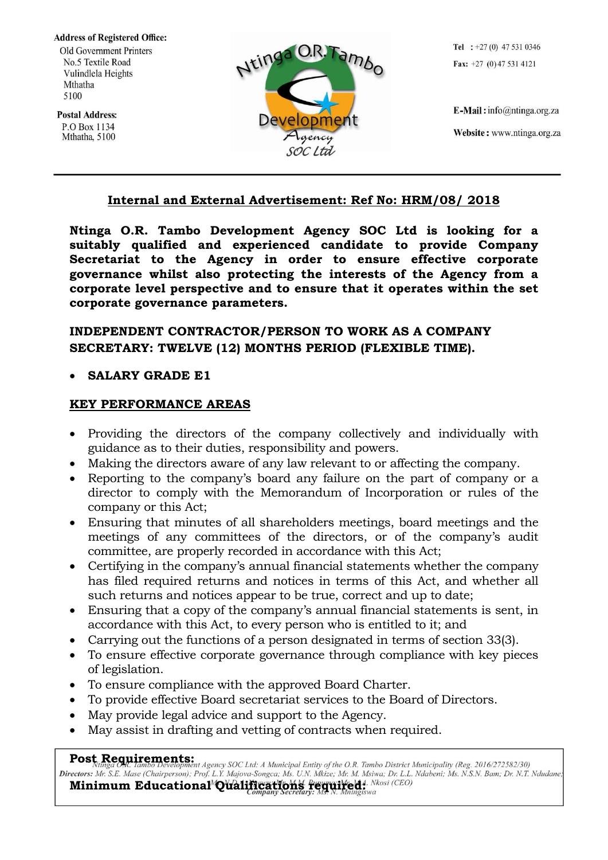**Address of Registered Office:** Old Government Printers No.5 Textile Road Vulindlela Heights Mthatha 5100

**Postal Address:** P.O Box 1134 Mthatha, 5100



Tel :  $+27(0)$  47 531 0346 Fax:  $+27$  (0) 47 531 4121

E-Mail: info@ntinga.org.za Website: www.ntinga.org.za

## **Internal and External Advertisement: Ref No: HRM/08/ 2018**

**Ntinga O.R. Tambo Development Agency SOC Ltd is looking for a suitably qualified and experienced candidate to provide Company Secretariat to the Agency in order to ensure effective corporate governance whilst also protecting the interests of the Agency from a corporate level perspective and to ensure that it operates within the set corporate governance parameters.**

# **INDEPENDENT CONTRACTOR/PERSON TO WORK AS A COMPANY SECRETARY: TWELVE (12) MONTHS PERIOD (FLEXIBLE TIME).**

### **SALARY GRADE E1**

### **KEY PERFORMANCE AREAS**

- Providing the directors of the company collectively and individually with guidance as to their duties, responsibility and powers.
- Making the directors aware of any law relevant to or affecting the company.
- Reporting to the company's board any failure on the part of company or a director to comply with the Memorandum of Incorporation or rules of the company or this Act;
- Ensuring that minutes of all shareholders meetings, board meetings and the meetings of any committees of the directors, or of the company's audit committee, are properly recorded in accordance with this Act;
- Certifying in the company's annual financial statements whether the company has filed required returns and notices in terms of this Act, and whether all such returns and notices appear to be true, correct and up to date;
- Ensuring that a copy of the company's annual financial statements is sent, in accordance with this Act, to every person who is entitled to it; and
- Carrying out the functions of a person designated in terms of section 33(3).
- To ensure effective corporate governance through compliance with key pieces of legislation.
- To ensure compliance with the approved Board Charter.
- To provide effective Board secretariat services to the Board of Directors.
- May provide legal advice and support to the Agency.
- May assist in drafting and vetting of contracts when required.

Post Requirements:<br>Nunga CR, Jambo Development Agency SOC Ltd: A Municipal Entity of the O.R. Tambo District Municipality (Reg. 2016/272582/30) Directors: Mr. S.E. Mase (Chairperson); Prof. L.Y. Majova-Songca; Ms. U.N. Mkize; Mr. M. Msiwa; Dr. L.L. Ndabeni; Ms. N.S.N. Bam; Dr. N.T. Ndudane; Minimum Educational<sup>M</sup>Qualifications regular Resolutions (CEO)

Page **1** of **2**